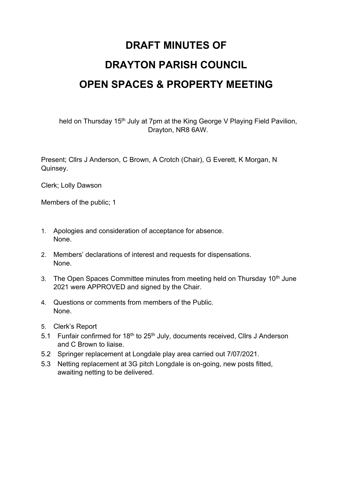## **DRAFT MINUTES OF DRAYTON PARISH COUNCIL OPEN SPACES & PROPERTY MEETING**

held on Thursday 15<sup>th</sup> July at 7pm at the King George V Playing Field Pavilion, Drayton, NR8 6AW.

Present; Cllrs J Anderson, C Brown, A Crotch (Chair), G Everett, K Morgan, N Quinsey.

Clerk; Lolly Dawson

Members of the public; 1

- 1. Apologies and consideration of acceptance for absence. None.
- 2. Members' declarations of interest and requests for dispensations. None.
- 3. The Open Spaces Committee minutes from meeting held on Thursday 10<sup>th</sup> June 2021 were APPROVED and signed by the Chair.
- 4. Questions or comments from members of the Public. None.
- 5. Clerk's Report
- 5.1 Funfair confirmed for  $18<sup>th</sup>$  to  $25<sup>th</sup>$  July, documents received, Cllrs J Anderson and C Brown to liaise.
- 5.2 Springer replacement at Longdale play area carried out 7/07/2021.
- 5.3 Netting replacement at 3G pitch Longdale is on-going, new posts fitted, awaiting netting to be delivered.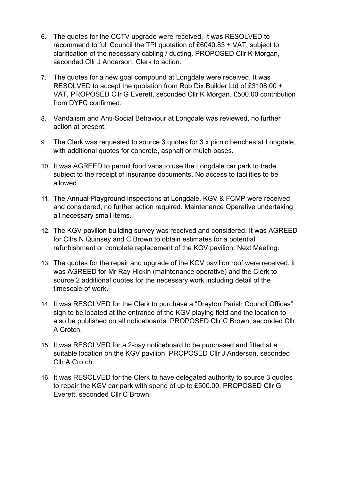- 6. The quotes for the CCTV upgrade were received, It was RESOLVED to recommend to full Council the TPI quotation of £6040.83 + VAT, subject to clarification of the necessary cabling / ducting. PROPOSED Cllr K Morgan, seconded Cllr J Anderson. Clerk to action.
- 7. The quotes for a new goal compound at Longdale were received, It was RESOLVED to accept the quotation from Rob Dix Builder Ltd of £3108.00 + VAT, PROPOSED Cllr G Everett, seconded Cllr K Morgan. £500.00 contribution from DYFC confirmed.
- 8. Vandalism and Anti-Social Behaviour at Longdale was reviewed, no further action at present.
- 9. The Clerk was requested to source 3 quotes for 3 x picnic benches at Longdale, with additional quotes for concrete, asphalt or mulch bases.
- 10. It was AGREED to permit food vans to use the Longdale car park to trade subject to the receipt of insurance documents. No access to facilities to be allowed.
- 11. The Annual Playground Inspections at Longdale, KGV & FCMP were received and considered, no further action required. Maintenance Operative undertaking all necessary small items.
- 12. The KGV pavilion building survey was received and considered. It was AGREED for Cllrs N Quinsey and C Brown to obtain estimates for a potential refurbishment or complete replacement of the KGV pavilion. Next Meeting.
- 13. The quotes for the repair and upgrade of the KGV pavilion roof were received, it was AGREED for Mr Ray Hickin (maintenance operative) and the Clerk to source 2 additional quotes for the necessary work including detail of the timescale of work.
- 14. It was RESOLVED for the Clerk to purchase a "Drayton Parish Council Offices" sign to be located at the entrance of the KGV playing field and the location to also be published on all noticeboards. PROPOSED Cllr C Brown, seconded Cllr A Crotch.
- 15. It was RESOLVED for a 2-bay noticeboard to be purchased and fitted at a suitable location on the KGV pavilion. PROPOSED Cllr J Anderson, seconded Cllr A Crotch.
- 16. It was RESOLVED for the Clerk to have delegated authority to source 3 quotes to repair the KGV car park with spend of up to £500.00, PROPOSED Cllr G Everett, seconded Cllr C Brown.